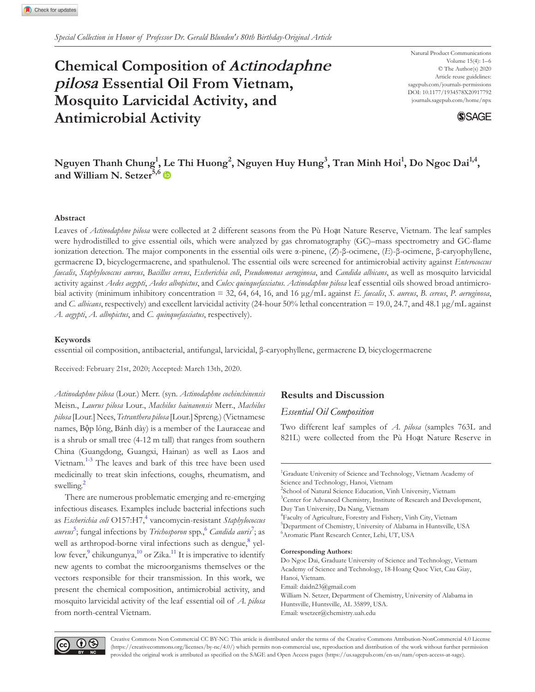# **Chemical Composition of** *Actinodaphne pilosa* **Essential Oil From Vietnam, Mosquito Larvicidal Activity, and Antimicrobial Activity**

Natural Product Communications Volume 15(4): 1–6 © The Author(s) 2020 Article reuse guidelines: sagepub.com/journals-permissions DOI: 10.1177/1934578X20917792 [journals.sagepub.com/home/npx](https://journals.sagepub.com/home/npx)



# $N$ guyen Thanh Chung<sup>1</sup>, [Le](https://orcid.org/0000-0002-3639-0528) Thi Huong<sup>2</sup>, Nguyen Huy Hung<sup>3</sup>, Tran Minh Hoi<sup>1</sup>, Do Ngoc Dai<sup>1,4</sup>, **and William N. Setzer5,6**

# **Abstract**

Leaves of *Actinodaphne pilosa* were collected at 2 different seasons from the Pù Hoạt Nature Reserve, Vietnam. The leaf samples were hydrodistilled to give essential oils, which were analyzed by gas chromatography (GC)–mass spectrometry and GC-flame ionization detection. The major components in the essential oils were α-pinene, (*Z*)-β-ocimene, (*E*)-β-ocimene, β-caryophyllene, germacrene D, bicyclogermacrene, and spathulenol. The essential oils were screened for antimicrobial activity against *Enterococcus faecalis*, *Staphylococcus aureus*, *Bacillus cereus*, *Escherichia coli*, *Pseudomonas aeruginosa*, and *Candida albicans*, as well as mosquito larvicidal activity against *Aedes aegypti*, *Aedes albopictus*, and *Culex quinquefasciatus. Actinodaphne pilosa* leaf essential oils showed broad antimicrobial activity (minimum inhibitory concentration = 32, 64, 64, 16, and 16 μg/mL against *E. faecalis*, *S. aureus*, *B. cereus*, *P. aeruginosa*, and *C. albicans*, respectively) and excellent larvicidal activity (24-hour 50% lethal concentration = 19.0, 24.7, and 48.1 μg/mL against *A. aegypti*, *A. albopictus*, and *C. quinquefasciatus*, respectively).

# **Keywords**

essential oil composition, antibacterial, antifungal, larvicidal, β-caryophyllene, germacrene D, bicyclogermacrene

Received: February 21st, 2020; Accepted: March 13th, 2020.

*Actinodaphne pilosa* (Lour.) Merr. (syn. *Actinodaphne cochinchinensis* Meisn., *Laurus pilosa* Lour., *Machilus hainanensis* Merr., *Machilus pilosa* [Lour.] Nees, *Tetranthera pilosa* [Lour.] Spreng.) (Vietnamese names, Bộp lông, Bánh dày) is a member of the Lauraceae and is a shrub or small tree (4-12 m tall) that ranges from southern China (Guangdong, Guangxi, Hainan) as well as Laos and Vietnam.<sup>[1-3](#page-4-0)</sup> The leaves and bark of this tree have been used medicinally to treat skin infections, coughs, rheumatism, and swelling.<sup>[2](#page-4-1)</sup>

There are numerous problematic emerging and re-emerging infectious diseases. Examples include bacterial infections such as *Escherichia coli* O157:H7,[4](#page-4-2) vancomycin-resistant *Staphylococcus aureus*[5](#page-4-3) ; fungal infections by *Trichosporon* spp.[,6](#page-4-4) *Candida auris*[7](#page-5-0) ; as well as arthropod-borne viral infections such as dengue, <sup>[8](#page-5-1)</sup> yel-low fever, <sup>[9](#page-5-2)</sup> chikungunya,  $\frac{10}{10}$  or Zika.<sup>11</sup> It is imperative to identify new agents to combat the microorganisms themselves or the vectors responsible for their transmission. In this work, we present the chemical composition, antimicrobial activity, and mosquito larvicidal activity of the leaf essential oil of *A. pilosa* from north-central Vietnam.

# **Results and Discussion**

*Essential Oil Composition*

Two different leaf samples of *A. pilosa* (samples 763L and 821L) were collected from the Pù Hoạt Nature Reserve in

<sup>1</sup>Graduate University of Science and Technology, Vietnam Academy of Science and Technology, Hanoi, Vietnam <sup>2</sup>School of Natural Science Education, Vinh University, Vietnam <sup>3</sup>Center for Advanced Chemistry, Institute of Research and Development, Duy Tan University, Da Nang, Vietnam 4 Faculty of Agriculture, Forestry and Fishery, Vinh City, Vietnam 5 Department of Chemistry, University of Alabama in Huntsville, USA 6 Aromatic Plant Research Center, Lehi, UT, USA

#### **Corresponding Authors:**

Do Ngoc Dai, Graduate University of Science and Technology, Vietnam Academy of Science and Technology, 18-Hoang Quoc Viet, Cau Giay, Hanoi, Vietnam. Email: [daidn23@gmail.com](mailto:daidn23@gmail.com) William N. Setzer, Department of Chemistry, University of Alabama in Huntsville, Huntsville, AL 35899, USA. Email: [wsetzer@chemistry.uah.edu](mailto:wsetzer@chemistry.uah.edu)

 $\bigcirc$   $\bigcirc$ 

Creative Commons Non Commercial CC BY-NC: This article is distributed under the terms of the Creative Commons Attribution-NonCommercial 4.0 License ([https://creativecommons.org/licenses/by-nc/4.0/\)](https://creativecommons.org/licenses/by-nc/4.0/) which permits non-commercial use, reproduction and distribution of the work without further permission provided the original work is attributed as specified on the SAGE and Open Access pages (<https://us.sagepub.com/en-us/nam/open-access-at-sage>).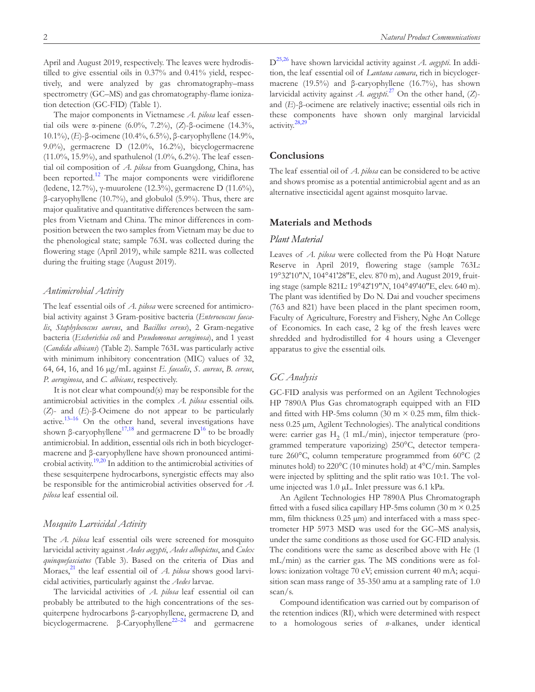April and August 2019, respectively. The leaves were hydrodistilled to give essential oils in 0.37% and 0.41% yield, respectively, and were analyzed by gas chromatography–mass spectrometry (GC–MS) and gas chromatography-flame ionization detection (GC-FID) [\(Table 1\)](#page-2-0).

The major components in Vietnamese *A. pilosa* leaf essential oils were α-pinene (6.0%, 7.2%), (*Z*)-β-ocimene (14.3%, 10.1%), (*E*)-β-ocimene (10.4%, 6.5%), β-caryophyllene (14.9%, 9.0%), germacrene D (12.0%, 16.2%), bicyclogermacrene (11.0%, 15.9%), and spathulenol (1.0%, 6.2%). The leaf essential oil composition of *A. pilosa* from Guangdong, China, has been reported.<sup>12</sup> The major components were viridiflorene (ledene, 12.7%), γ-muurolene (12.3%), germacrene D (11.6%), β-caryophyllene (10.7%), and globulol (5.9%). Thus, there are major qualitative and quantitative differences between the samples from Vietnam and China. The minor differences in composition between the two samples from Vietnam may be due to the phenological state; sample 763L was collected during the flowering stage (April 2019), while sample 821L was collected during the fruiting stage (August 2019).

#### *Antimicrobial Activity*

The leaf essential oils of *A. pilosa* were screened for antimicrobial activity against 3 Gram-positive bacteria (*Enterococcus faecalis*, *Staphylococcus aureus*, and *Bacillus cereus*), 2 Gram-negative bacteria (*Escherichia coli* and *Pseudomonas aeruginosa*), and 1 yeast (*Candida albicans*) ([Table 2\)](#page-3-0). Sample 763L was particularly active with minimum inhibitory concentration (MIC) values of 32, 64, 64, 16, and 16 µg/mL against *E. faecalis*, *S. aureus*, *B. cereus*, *P. aeruginosa*, and *C. albicans*, respectively.

It is not clear what compound(s) may be responsible for the antimicrobial activities in the complex *A. pilosa* essential oils. (*Z*)- and (*E*)-β-Ocimene do not appear to be particularly active.<sup>13–16</sup> On the other hand, several investigations have shown β-caryophyllene<sup>17,18</sup> and germacrene  $D^{16}$  to be broadly antimicrobial. In addition, essential oils rich in both bicyclogermacrene and β-caryophyllene have shown pronounced antimi-crobial activity.<sup>[19,20](#page-5-9)</sup> In addition to the antimicrobial activities of these sesquiterpene hydrocarbons, synergistic effects may also be responsible for the antimicrobial activities observed for *A. pilosa* leaf essential oil.

# *Mosquito Larvicidal Activity*

The *A. pilosa* leaf essential oils were screened for mosquito larvicidal activity against *Aedes aegypti*, *Aedes albopictus*, and *Culex quinquefasciatus* [\(Table 3\)](#page-4-5). Based on the criteria of Dias and Moraes,<sup>21</sup> the leaf essential oil of *A. pilosa* shows good larvicidal activities, particularly against the *Aedes* larvae.

The larvicidal activities of *A. pilosa* leaf essential oil can probably be attributed to the high concentrations of the sesquiterpene hydrocarbons β-caryophyllene, germacrene D, and bicyclogermacrene. β-Caryophyllene<sup>22–24</sup> and germacrene

[D25,26](#page-5-12) have shown larvicidal activity against *A. aegypti*. In addition, the leaf essential oil of *Lantana camara*, rich in bicyclogermacrene (19.5%) and β-caryophyllene (16.7%), has shown larvicidal activity against *A. aegypti*. [27](#page-5-13) On the other hand, (*Z*) and (*E*)-β-ocimene are relatively inactive; essential oils rich in these components have shown only marginal larvicidal activity.[28,29](#page-5-14)

# **Conclusions**

The leaf essential oil of *A. pilosa* can be considered to be active and shows promise as a potential antimicrobial agent and as an alternative insecticidal agent against mosquito larvae.

# **Materials and Methods**

# *Plant Material*

Leaves of *A. pilosa* were collected from the Pù Hoạt Nature Reserve in April 2019, flowering stage (sample 763L: 19°32′10″*N*, 104°41′28″E, elev. 870 m), and August 2019, fruiting stage (sample 821L: 19°42′19″*N*, 104°49′40″E, elev. 640 m). The plant was identified by Do N. Dai and voucher specimens (763 and 821) have been placed in the plant specimen room, Faculty of Agriculture, Forestry and Fishery, Nghe An College of Economics. In each case, 2 kg of the fresh leaves were shredded and hydrodistilled for 4 hours using a Clevenger apparatus to give the essential oils.

#### *GC Analysis*

GC-FID analysis was performed on an Agilent Technologies HP 7890A Plus Gas chromatograph equipped with an FID and fitted with HP-5ms column (30 m  $\times$  0.25 mm, film thickness 0.25 µm, Agilent Technologies). The analytical conditions were: carrier gas  $H<sub>2</sub>$  (1 mL/min), injector temperature (programmed temperature vaporizing) 250°C, detector temperature 260°C, column temperature programmed from 60°C (2 minutes hold) to 220°C (10 minutes hold) at 4°C/min. Samples were injected by splitting and the split ratio was 10:1. The volume injected was 1.0 µL. Inlet pressure was 6.1 kPa.

An Agilent Technologies HP 7890A Plus Chromatograph fitted with a fused silica capillary HP-5ms column (30 m  $\times$  0.25 mm, film thickness  $0.25 \mu m$ ) and interfaced with a mass spectrometer HP 5973 MSD was used for the GC–MS analysis, under the same conditions as those used for GC-FID analysis. The conditions were the same as described above with He (1 mL/min) as the carrier gas. The MS conditions were as follows: ionization voltage 70 eV; emission current 40 mA; acquisition scan mass range of 35-350 amu at a sampling rate of 1.0 scan/s.

Compound identification was carried out by comparison of the retention indices (RI), which were determined with respect to a homologous series of *n*-alkanes, under identical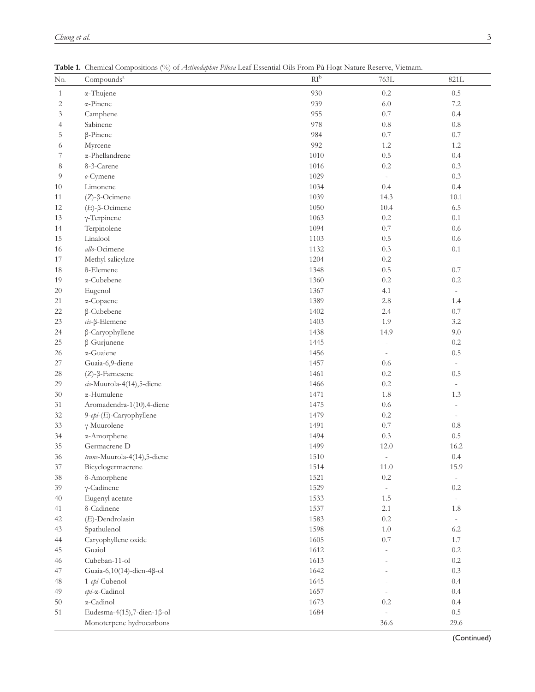| No.          | Compounds <sup>a</sup>      | $RI^b$ | 763L                     | 821L                     |
|--------------|-----------------------------|--------|--------------------------|--------------------------|
| $\mathbf{1}$ | α-Thujene                   | 930    | $0.2\,$                  | 0.5                      |
| $\mathbf{2}$ | $\alpha$ -Pinene            | 939    | $6.0\,$                  | 7.2                      |
| 3            | Camphene                    | 955    | $0.7\,$                  | 0.4                      |
| 4            | Sabinene                    | 978    | $0.8\,$                  | 0.8                      |
| 5            | β-Pinene                    | 984    | $0.7\,$                  | $0.7\,$                  |
| 6            | Myrcene                     | 992    | 1.2                      | 1.2                      |
| 7            | $\alpha$ -Phellandrene      | 1010   | $0.5\,$                  | 0.4                      |
| 8            | δ-3-Carene                  | 1016   | $0.2\,$                  | 0.3                      |
| 9            | o-Cymene                    | 1029   | $\overline{\phantom{a}}$ | 0.3                      |
| 10           | Limonene                    | 1034   | 0.4                      | 0.4                      |
| 11           | $(Z)$ - $\beta$ -Ocimene    | 1039   | 14.3                     | 10.1                     |
| 12           | $(E)$ -β-Ocimene            | 1050   | 10.4                     | 6.5                      |
| 13           | $\gamma$ -Terpinene         | 1063   | 0.2                      | 0.1                      |
| 14           | Terpinolene                 | 1094   | $0.7\,$                  | 0.6                      |
| 15           | Linalool                    | 1103   | 0.5                      | 0.6                      |
| 16           | allo-Ocimene                | 1132   | 0.3                      | 0.1                      |
| 17           | Methyl salicylate           | 1204   | $0.2\,$                  | $\overline{\phantom{a}}$ |
| 18           | δ-Elemene                   | 1348   | $0.5\,$                  | 0.7                      |
| 19           | α-Cubebene                  | 1360   | $0.2\,$                  | 0.2                      |
| 20           | Eugenol                     | 1367   | 4.1                      | $\sim$                   |
| 21           | α-Copaene                   | 1389   | $2.8\,$                  | 1.4                      |
| 22           | β-Cubebene                  | 1402   | 2.4                      | 0.7                      |
| 23           | $cis$ - $\beta$ -Elemene    | 1403   | 1.9                      | 3.2                      |
| 24           | β-Caryophyllene             | 1438   | 14.9                     | 9.0                      |
| 25           | β-Gurjunene                 | 1445   |                          | $0.2\,$                  |
| 26           | α-Guaiene                   | 1456   |                          | 0.5                      |
| 27           | Guaia-6,9-diene             | 1457   | $0.6\,$                  |                          |
| 28           | $(Z)$ - $\beta$ -Farnesene  | 1461   | $0.2\,$                  | 0.5                      |
| 29           | cis-Muurola-4(14),5-diene   | 1466   | $0.2\,$                  |                          |
| 30           | α-Humulene                  | 1471   | $1.8\,$                  | 1.3                      |
| 31           | Aromadendra-1(10),4-diene   | 1475   | $0.6\,$                  |                          |
| 32           | 9-epi-(E)-Caryophyllene     | 1479   | $0.2\,$                  |                          |
| 33           | $\gamma$ -Muurolene         | 1491   | $0.7\,$                  | 0.8                      |
| 34           | α-Amorphene                 | 1494   | 0.3                      | 0.5                      |
| 35           | Germacrene D                | 1499   | 12.0                     | 16.2                     |
| 36           | trans-Muurola-4(14),5-diene | 1510   | $\bar{a}$                | 0.4                      |
| $37\,$       | Bicyclogermacrene           | 1514   | 11.0                     | 15.9                     |
| 38           | δ-Amorphene                 | 1521   | 0.2                      | $\overline{\phantom{a}}$ |
| 39           | $\gamma$ -Cadinene          | 1529   | $\overline{\phantom{a}}$ | 0.2                      |
| 40           | Eugenyl acetate             | 1533   | 1.5                      | $\overline{\phantom{a}}$ |
| 41           | δ-Cadinene                  | 1537   | 2.1                      | 1.8                      |
| 42           | (E)-Dendrolasin             | 1583   | $0.2\,$                  | $\overline{\phantom{a}}$ |
| 43           | Spathulenol                 | 1598   | $1.0\,$                  | $6.2\,$                  |
| 44           | Caryophyllene oxide         | 1605   | $0.7\,$                  | 1.7                      |
| 45           | Guaiol                      | 1612   |                          | $0.2\,$                  |
| 46           | Cubeban-11-ol               | 1613   |                          | $0.2\,$                  |
| 47           | Guaia-6,10(14)-dien-4β-ol   | 1642   |                          | $0.3\,$                  |
| 48           | 1-epi-Cubenol               | 1645   |                          | 0.4                      |
| 49           | epi-α-Cadinol               | 1657   |                          | 0.4                      |
| 50           | α-Cadinol                   | 1673   | $0.2\,$                  | 0.4                      |
| 51           | Eudesma-4(15),7-dien-1ß-ol  | 1684   |                          | 0.5                      |
|              | Monoterpene hydrocarbons    |        | 36.6                     | 29.6                     |

<span id="page-2-0"></span>**Table 1.** Chemical Compositions (%) of *Actinodaphne Pilosa* Leaf Essential Oils From Pù Hoạt Nature Reserve, Vietnam.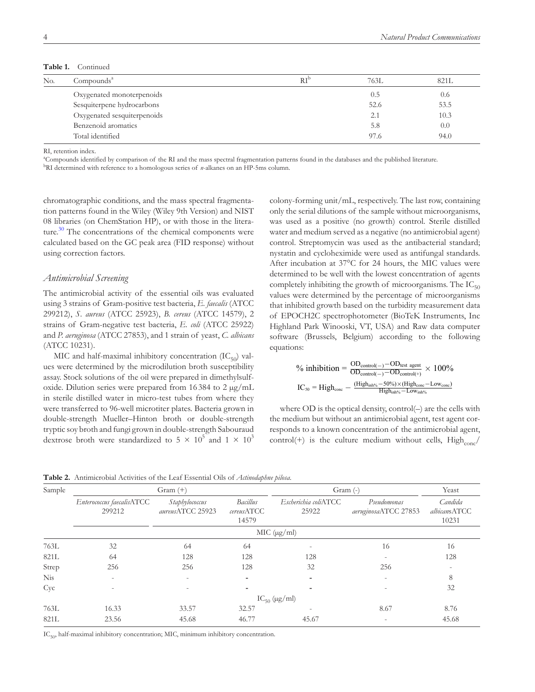Table 1. Continued

| No. | Compounds <sup>a</sup>      | $\mathrm{RI}^{\mathrm{b}}$ | 763L | 821L |
|-----|-----------------------------|----------------------------|------|------|
|     | Oxygenated monoterpenoids   |                            | 0.5  | 0.6  |
|     | Sesquiterpene hydrocarbons  |                            | 52.6 | 53.5 |
|     | Oxygenated sesquiterpenoids |                            | 2.1  | 10.3 |
|     | Benzenoid aromatics         |                            | 5.8  | 0.0  |
|     | Total identified            |                            | 97.6 | 94.0 |

RI, retention index.

a Compounds identified by comparison of the RI and the mass spectral fragmentation patterns found in the databases and the published literature.

<sup>b</sup>RI determined with reference to a homologous series of *n*-alkanes on an HP-5ms column.

chromatographic conditions, and the mass spectral fragmentation patterns found in the Wiley (Wiley 9th Version) and NIST 08 libraries (on ChemStation HP), or with those in the literature. $30$  The concentrations of the chemical components were calculated based on the GC peak area (FID response) without using correction factors.

# *Antimicrobial Screening*

The antimicrobial activity of the essential oils was evaluated using 3 strains of Gram-positive test bacteria, *E. faecalis* (ATCC 299212), *S. aureus* (ATCC 25923), *B. cereus* (ATCC 14579), 2 strains of Gram-negative test bacteria, *E. coli* (ATCC 25922) and *P. aeruginosa* (ATCC 27853), and 1 strain of yeast, *C. albicans* (ATCC 10231).

MIC and half-maximal inhibitory concentration  $(IC_{50})$  values were determined by the microdilution broth susceptibility assay. Stock solutions of the oil were prepared in dimethylsulfoxide. Dilution series were prepared from 16384 to  $2 \mu g/mL$ in sterile distilled water in micro-test tubes from where they were transferred to 96-well microtiter plates. Bacteria grown in double-strength Mueller–Hinton broth or double-strength tryptic soy broth and fungi grown in double-strength Sabouraud dextrose broth were standardized to 5  $\times$  10<sup>5</sup> and 1  $\times$  10<sup>3</sup>

colony-forming unit/mL, respectively. The last row, containing only the serial dilutions of the sample without microorganisms, was used as a positive (no growth) control. Sterile distilled water and medium served as a negative (no antimicrobial agent) control. Streptomycin was used as the antibacterial standard; nystatin and cycloheximide were used as antifungal standards. After incubation at 37°C for 24 hours, the MIC values were determined to be well with the lowest concentration of agents completely inhibiting the growth of microorganisms. The  $IC_{50}$ values were determined by the percentage of microorganisms that inhibited growth based on the turbidity measurement data of EPOCH2C spectrophotometer (BioTeK Instruments, Inc Highland Park Winooski, VT, USA) and Raw data computer software (Brussels, Belgium) according to the following equations:

$$
\% \text{ inhibition} = \frac{\text{OD}_{control(-)} - \text{OD}_{test\_agent}}{\text{OD}_{control(-)} - \text{OD}_{control(+)}} \times 100\%
$$
\n
$$
\text{IC}_{50} = \text{High}_{cone} - \frac{(\text{High}_{inb\%} - 50\%) \times (\text{High}_{cone} - \text{Low}_{cone})}{\text{High}_{inb\%} - \text{Low}_{inh\%}}}
$$

where OD is the optical density, control(–) are the cells with the medium but without an antimicrobial agent, test agent corresponds to a known concentration of the antimicrobial agent, control(+) is the culture medium without cells,  $High_{conc}$ 

<span id="page-3-0"></span>**Table 2.** Antimicrobial Activities of the Leaf Essential Oils of *Actinodaphne pilosa*.

| Sample     | $Gram (+)$                          |                                    |                                 | Gram (-)                      |                                     | Yeast                            |  |
|------------|-------------------------------------|------------------------------------|---------------------------------|-------------------------------|-------------------------------------|----------------------------------|--|
|            | Enterococcus faecalisATCC<br>299212 | Staphylococcus<br>aureusATCC 25923 | Bacillus<br>cereusATCC<br>14579 | Escherichia coliATCC<br>25922 | Pseudomonas<br>aeruginosaATCC 27853 | Candida<br>albicansATCC<br>10231 |  |
|            |                                     | MIC (µg/ml)                        |                                 |                               |                                     |                                  |  |
| 763L       | 32                                  | 64                                 | 64                              |                               | 16                                  | 16                               |  |
| 821L       | 64                                  | 128                                | 128                             | 128                           |                                     | 128                              |  |
| Strep      | 256                                 | 256                                | 128                             | 32                            | 256                                 |                                  |  |
| <b>Nis</b> | $\overline{a}$                      |                                    |                                 |                               |                                     | 8                                |  |
| Cyc        |                                     |                                    |                                 |                               |                                     | 32                               |  |
|            | $IC_{50}$ (µg/ml)                   |                                    |                                 |                               |                                     |                                  |  |
| 763L       | 16.33                               | 33.57                              | 32.57                           |                               | 8.67                                | 8.76                             |  |
| 821L       | 23.56                               | 45.68                              | 46.77                           | 45.67                         |                                     | 45.68                            |  |

 $IC_{50}$ , half-maximal inhibitory concentration; MIC, minimum inhibitory concentration.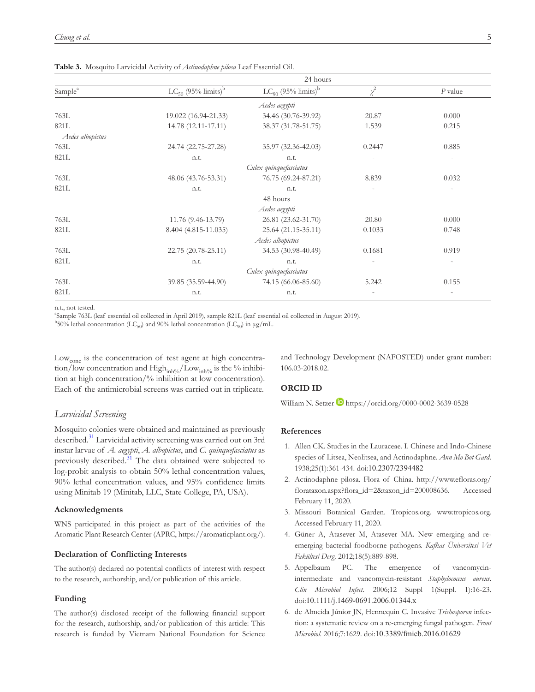|                        |                                     | 24 hours                            |                |                |  |  |
|------------------------|-------------------------------------|-------------------------------------|----------------|----------------|--|--|
| Sample <sup>a</sup>    | $LC_{50}$ (95% limits) <sup>b</sup> | $LC_{90}$ (95% limits) <sup>b</sup> | $\chi^2$       | $P$ value      |  |  |
|                        |                                     | Aedes aegypti                       |                |                |  |  |
| 763L                   | 19.022 (16.94-21.33)                | 34.46 (30.76-39.92)                 | 20.87          | 0.000          |  |  |
| 821L                   | 14.78 (12.11-17.11)                 | 38.37 (31.78-51.75)                 | 1.539          | 0.215          |  |  |
| Aedes albopictus       |                                     |                                     |                |                |  |  |
| 763L                   | 24.74 (22.75-27.28)                 | 35.97 (32.36-42.03)                 | 0.2447         | 0.885          |  |  |
| 821L                   | n.t.                                | n.t.                                |                |                |  |  |
| Culex quinquefasciatus |                                     |                                     |                |                |  |  |
| 763L                   | 48.06 (43.76-53.31)                 | 76.75 (69.24-87.21)                 | 8.839          | 0.032          |  |  |
| 821L                   | n.t.                                | n.t.                                | $\overline{a}$ |                |  |  |
|                        |                                     | 48 hours                            |                |                |  |  |
|                        |                                     | Aedes aegypti                       |                |                |  |  |
| 763L                   | 11.76 (9.46-13.79)                  | 26.81 (23.62-31.70)                 | 20.80          | 0.000          |  |  |
| 821L                   | 8.404 (4.815-11.035)                | 25.64 (21.15-35.11)                 | 0.1033         | 0.748          |  |  |
|                        |                                     | Aedes albopictus                    |                |                |  |  |
| 763L                   | 22.75 (20.78-25.11)                 | 34.53 (30.98-40.49)                 | 0.1681         | 0.919          |  |  |
| 821L                   | n.t.                                | n.t.                                | $\overline{a}$ | $\overline{a}$ |  |  |
| Culex quinquefasciatus |                                     |                                     |                |                |  |  |
| 763L                   | 39.85 (35.59-44.90)                 | 74.15 (66.06-85.60)                 | 5.242          | 0.155          |  |  |
| 821L                   | n.t.                                | n.t.                                |                |                |  |  |

<span id="page-4-5"></span>**Table 3.** Mosquito Larvicidal Activity of *Actinodaphne pilosa* Leaf Essential Oil.

n.t., not tested.

a Sample 763L (leaf essential oil collected in April 2019), sample 821L (leaf essential oil collected in August 2019).

 $^{b}$ 50% lethal concentration (LC<sub>50</sub>) and 90% lethal concentration (LC<sub>90</sub>) in µg/mL.

Low<sub>conc</sub> is the concentration of test agent at high concentration/low concentration and  $\text{High}_{\text{inh\%}}/\text{Low}_{\text{inh\%}}$  is the % inhibition at high concentration/% inhibition at low concentration). Each of the antimicrobial screens was carried out in triplicate.

# *Larvicidal Screening*

Mosquito colonies were obtained and maintained as previously described.<sup>31</sup> Larvicidal activity screening was carried out on 3rd instar larvae of *A. aegypti*, *A. albopictus*, and *C. quinquefasciatus* as previously described.<sup>31</sup> The data obtained were subjected to log-probit analysis to obtain 50% lethal concentration values, 90% lethal concentration values, and 95% confidence limits using Minitab 19 (Minitab, LLC, State College, PA, USA).

#### **Acknowledgments**

WNS participated in this project as part of the activities of the Aromatic Plant Research Center (APRC, [https://aromaticplant.org/\)](https://aromaticplant.org/).

#### **Declaration of Conflicting Interests**

The author(s) declared no potential conflicts of interest with respect to the research, authorship, and/or publication of this article.

# **Funding**

The author(s) disclosed receipt of the following financial support for the research, authorship, and/or publication of this article: This research is funded by Vietnam National Foundation for Science and Technology Development (NAFOSTED) under grant number: 106.03-2018.02.

# **ORCID ID**

William N. Setzer **b** <https://orcid.org/0000-0002-3639-0528>

# **References**

- <span id="page-4-0"></span>1. Allen CK. Studies in the Lauraceae. I. Chinese and Indo-Chinese species of Litsea, Neolitsea, and Actinodaphne. *Ann Mo Bot Gard*. 1938;25(1):361-434. doi:10.2307/2394482
- <span id="page-4-1"></span>2. Actinodaphne pilosa. Flora of China. [http://www.efloras.org/](http://www.efloras.org/florataxon.aspx?flora_id=2&taxon_id=200008636) [florataxon.aspx?flora\\_id=2&taxon\\_id=200008636.](http://www.efloras.org/florataxon.aspx?flora_id=2&taxon_id=200008636) Accessed February 11, 2020.
- 3. Missouri Botanical Garden. Tropicos.org. <www.tropicos.org>. Accessed February 11, 2020.
- <span id="page-4-2"></span>4. Güner A, Atasever M, Atasever MA. New emerging and reemerging bacterial foodborne pathogens. *Kafkas Üniversitesi Vet Fakültesi Derg*. 2012;18(5):889-898.
- <span id="page-4-3"></span>5. Appelbaum PC. The emergence of vancomycinintermediate and vancomycin-resistant *Staphylococcus aureus*. *Clin Microbiol Infect*. 2006;12 Suppl 1(Suppl. 1):16-23. doi:10.1111/j.1469-0691.2006.01344.x
- <span id="page-4-4"></span>6. de Almeida Júnior JN, Hennequin C. Invasive *Trichosporon* infection: a systematic review on a re-emerging fungal pathogen. *Front Microbiol*. 2016;7:1629. doi:10.3389/fmicb.2016.01629